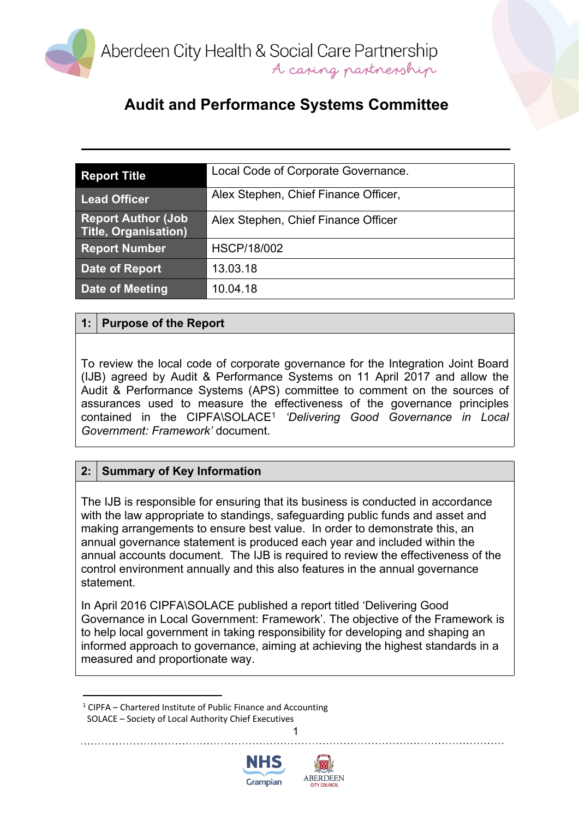

| <b>Report Title</b>                                       | Local Code of Corporate Governance.  |
|-----------------------------------------------------------|--------------------------------------|
| <b>Lead Officer</b>                                       | Alex Stephen, Chief Finance Officer, |
| <b>Report Author (Job)</b><br><b>Title, Organisation)</b> | Alex Stephen, Chief Finance Officer  |
| <b>Report Number</b>                                      | <b>HSCP/18/002</b>                   |
| Date of Report                                            | 13.03.18                             |
| <b>Date of Meeting</b>                                    | 10.04.18                             |

#### **1: Purpose of the Report**

To review the local code of corporate governance for the Integration Joint Board (IJB) agreed by Audit & Performance Systems on 11 April 2017 and allow the Audit & Performance Systems (APS) committee to comment on the sources of assurances used to measure the effectiveness of the governance principles contained in the CIPFA\SOLACE<sup>1</sup> *'Delivering Good Governance in Local Government: Framework'* document.

#### **2: Summary of Key Information**

The IJB is responsible for ensuring that its business is conducted in accordance with the law appropriate to standings, safeguarding public funds and asset and making arrangements to ensure best value. In order to demonstrate this, an annual governance statement is produced each year and included within the annual accounts document. The IJB is required to review the effectiveness of the control environment annually and this also features in the annual governance statement.

In April 2016 CIPFA\SOLACE published a report titled 'Delivering Good Governance in Local Government: Framework'. The objective of the Framework is to help local government in taking responsibility for developing and shaping an informed approach to governance, aiming at achieving the highest standards in a measured and proportionate way.

1

<sup>1</sup> CIPFA – Chartered Institute of Public Finance and Accounting SOLACE – Society of Local Authority Chief Executives



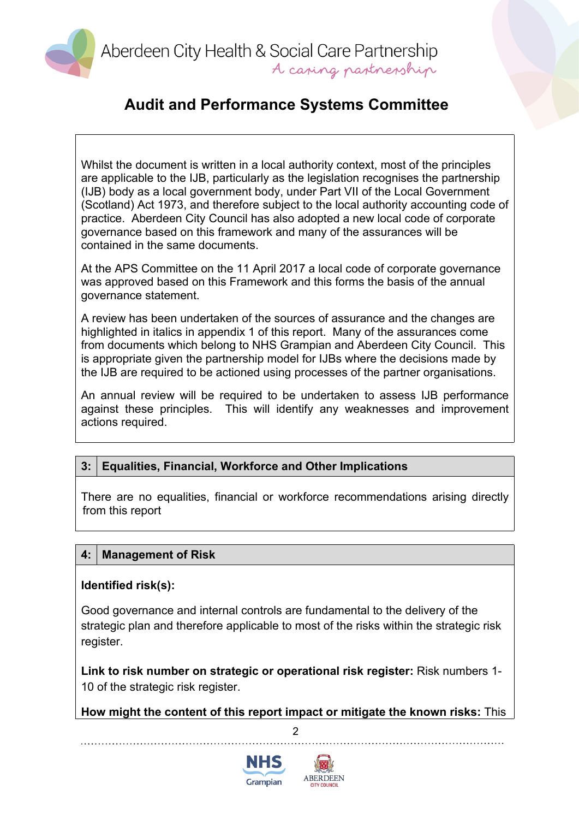Aberdeen City Health & Social Care Partnership A caring partnership

#### **Audit and Performance Systems Committee**

Whilst the document is written in a local authority context, most of the principles are applicable to the IJB, particularly as the legislation recognises the partnership (IJB) body as a local government body, under Part VII of the Local Government (Scotland) Act 1973, and therefore subject to the local authority accounting code of practice. Aberdeen City Council has also adopted a new local code of corporate governance based on this framework and many of the assurances will be contained in the same documents.

At the APS Committee on the 11 April 2017 a local code of corporate governance was approved based on this Framework and this forms the basis of the annual governance statement.

A review has been undertaken of the sources of assurance and the changes are highlighted in italics in appendix 1 of this report. Many of the assurances come from documents which belong to NHS Grampian and Aberdeen City Council. This is appropriate given the partnership model for IJBs where the decisions made by the IJB are required to be actioned using processes of the partner organisations.

An annual review will be required to be undertaken to assess IJB performance against these principles. This will identify any weaknesses and improvement actions required.

#### **3: Equalities, Financial, Workforce and Other Implications**

There are no equalities, financial or workforce recommendations arising directly from this report

#### **4: Management of Risk**

#### **Identified risk(s):**

Good governance and internal controls are fundamental to the delivery of the strategic plan and therefore applicable to most of the risks within the strategic risk register.

**Link to risk number on strategic or operational risk register:** Risk numbers 1- 10 of the strategic risk register.

 $\mathfrak{p}$ **How might the content of this report impact or mitigate the known risks:** This



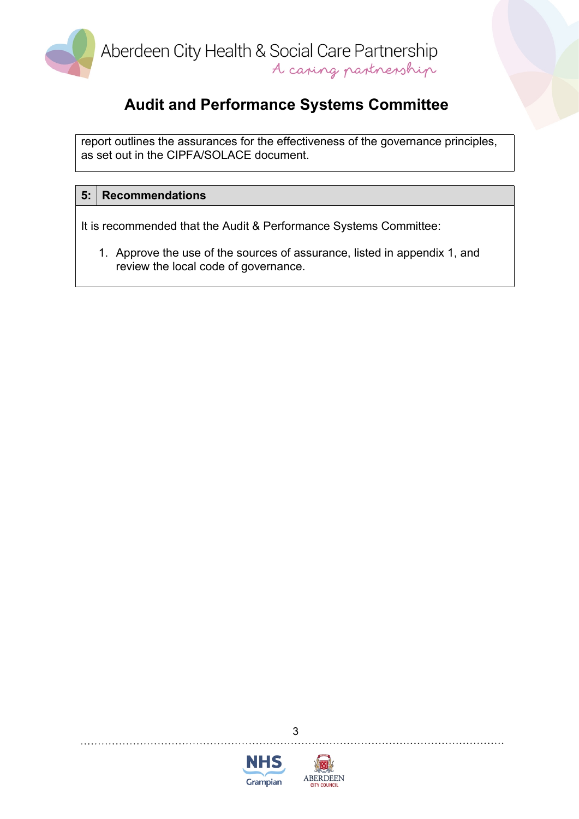

report outlines the assurances for the effectiveness of the governance principles, as set out in the CIPFA/SOLACE document.

#### **5: Recommendations**

It is recommended that the Audit & Performance Systems Committee:

1. Approve the use of the sources of assurance, listed in appendix 1, and review the local code of governance.



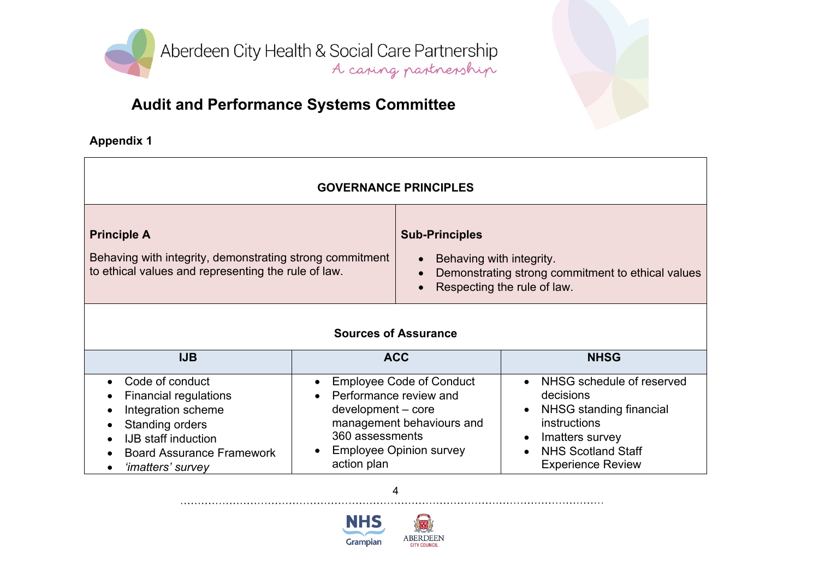

# **Audit and Performance Systems Committee**

**Appendix 1**

| <b>GOVERNANCE PRINCIPLES</b>                                                                                                                                                                 |                                                                                |                                                                                                |                                                                                                                                                                              |
|----------------------------------------------------------------------------------------------------------------------------------------------------------------------------------------------|--------------------------------------------------------------------------------|------------------------------------------------------------------------------------------------|------------------------------------------------------------------------------------------------------------------------------------------------------------------------------|
| <b>Principle A</b><br>Behaving with integrity, demonstrating strong commitment<br>to ethical values and representing the rule of law.                                                        |                                                                                | <b>Sub-Principles</b><br>Behaving with integrity.                                              | Demonstrating strong commitment to ethical values<br>Respecting the rule of law.                                                                                             |
| <b>Sources of Assurance</b>                                                                                                                                                                  |                                                                                |                                                                                                |                                                                                                                                                                              |
| <b>IJB</b>                                                                                                                                                                                   |                                                                                | <b>ACC</b>                                                                                     | <b>NHSG</b>                                                                                                                                                                  |
| Code of conduct<br>$\bullet$<br><b>Financial regulations</b><br>Integration scheme<br>Standing orders<br><b>IJB</b> staff induction<br><b>Board Assurance Framework</b><br>'imatters' survey | Performance review and<br>development - core<br>360 assessments<br>action plan | <b>Employee Code of Conduct</b><br>management behaviours and<br><b>Employee Opinion survey</b> | • NHSG schedule of reserved<br>decisions<br>NHSG standing financial<br>instructions<br>Imatters survey<br>$\bullet$<br><b>NHS Scotland Staff</b><br><b>Experience Review</b> |



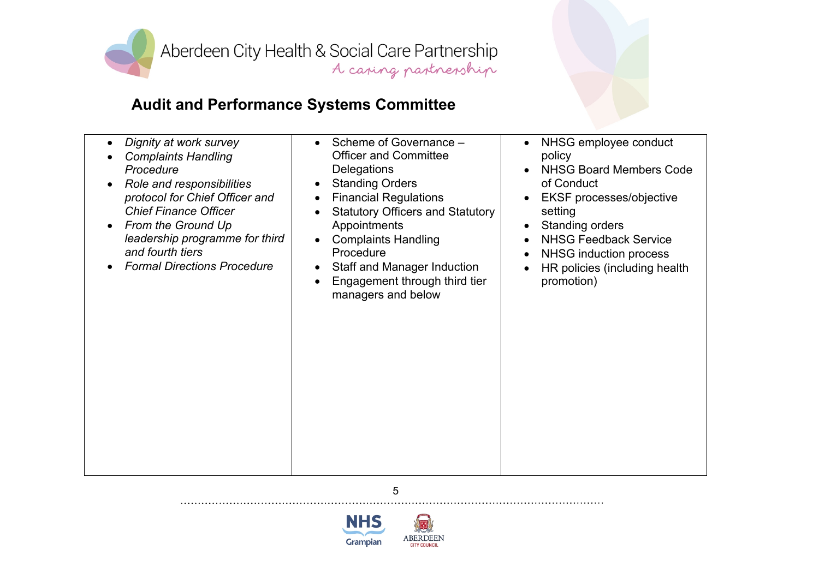

# **Audit and Performance Systems Committee**

| Dignity at work survey<br>$\bullet$<br><b>Complaints Handling</b><br>Procedure<br>Role and responsibilities<br>protocol for Chief Officer and<br><b>Chief Finance Officer</b><br>From the Ground Up<br>leadership programme for third<br>and fourth tiers<br><b>Formal Directions Procedure</b> | Scheme of Governance -<br>$\bullet$<br><b>Officer and Committee</b><br><b>Delegations</b><br><b>Standing Orders</b><br><b>Financial Regulations</b><br><b>Statutory Officers and Statutory</b><br>Appointments<br><b>Complaints Handling</b><br>Procedure<br><b>Staff and Manager Induction</b><br>Engagement through third tier<br>managers and below | NHSG employee conduct<br>policy<br><b>NHSG Board Members Code</b><br>of Conduct<br><b>EKSF</b> processes/objective<br>setting<br><b>Standing orders</b><br><b>NHSG Feedback Service</b><br><b>NHSG induction process</b><br>HR policies (including health<br>promotion) |
|-------------------------------------------------------------------------------------------------------------------------------------------------------------------------------------------------------------------------------------------------------------------------------------------------|--------------------------------------------------------------------------------------------------------------------------------------------------------------------------------------------------------------------------------------------------------------------------------------------------------------------------------------------------------|-------------------------------------------------------------------------------------------------------------------------------------------------------------------------------------------------------------------------------------------------------------------------|
|-------------------------------------------------------------------------------------------------------------------------------------------------------------------------------------------------------------------------------------------------------------------------------------------------|--------------------------------------------------------------------------------------------------------------------------------------------------------------------------------------------------------------------------------------------------------------------------------------------------------------------------------------------------------|-------------------------------------------------------------------------------------------------------------------------------------------------------------------------------------------------------------------------------------------------------------------------|

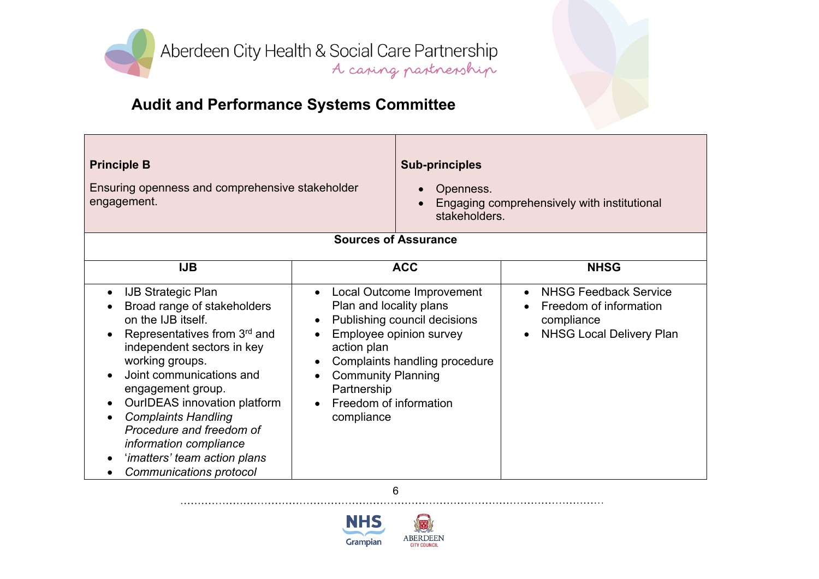

| <b>Principle B</b><br>Ensuring openness and comprehensive stakeholder<br>engagement.                                                                                                                                                                                                                                                                                                                                      |                                                                                                                            | <b>Sub-principles</b><br>Openness.<br>stakeholders.<br><b>Sources of Assurance</b>                                    | Engaging comprehensively with institutional                                                                          |
|---------------------------------------------------------------------------------------------------------------------------------------------------------------------------------------------------------------------------------------------------------------------------------------------------------------------------------------------------------------------------------------------------------------------------|----------------------------------------------------------------------------------------------------------------------------|-----------------------------------------------------------------------------------------------------------------------|----------------------------------------------------------------------------------------------------------------------|
|                                                                                                                                                                                                                                                                                                                                                                                                                           |                                                                                                                            |                                                                                                                       |                                                                                                                      |
| <b>IJB</b>                                                                                                                                                                                                                                                                                                                                                                                                                |                                                                                                                            | <b>ACC</b>                                                                                                            | <b>NHSG</b>                                                                                                          |
| <b>IJB Strategic Plan</b><br>$\bullet$<br>Broad range of stakeholders<br>on the IJB itself.<br>Representatives from 3rd and<br>independent sectors in key<br>working groups.<br>Joint communications and<br>engagement group.<br>OurIDEAS innovation platform<br><b>Complaints Handling</b><br>Procedure and freedom of<br>information compliance<br>'imatters' team action plans<br>Communications protocol<br>$\bullet$ | Plan and locality plans<br>action plan<br><b>Community Planning</b><br>Partnership<br>Freedom of information<br>compliance | Local Outcome Improvement<br>Publishing council decisions<br>Employee opinion survey<br>Complaints handling procedure | <b>NHSG Feedback Service</b><br>Freedom of information<br>compliance<br><b>NHSG Local Delivery Plan</b><br>$\bullet$ |

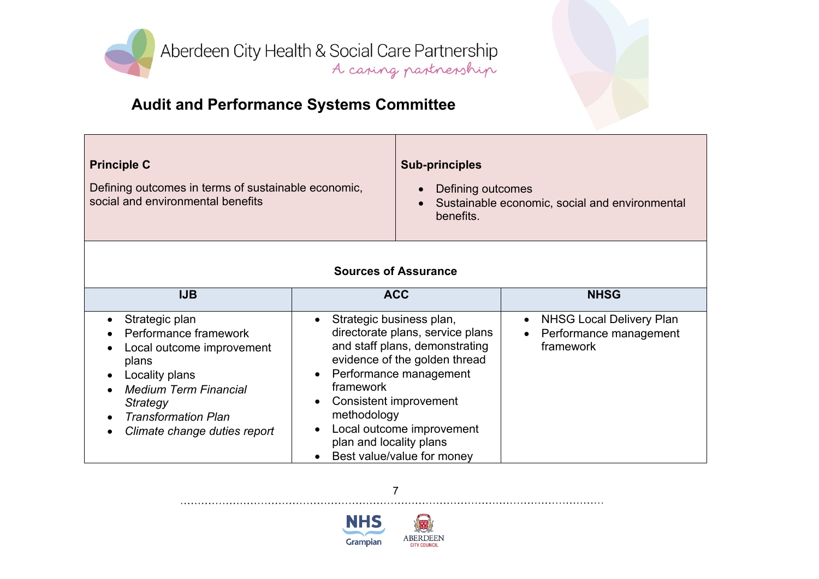

| <b>Principle C</b>                                                                       | <b>Sub-principles</b>                                                                                      |  |
|------------------------------------------------------------------------------------------|------------------------------------------------------------------------------------------------------------|--|
| Defining outcomes in terms of sustainable economic,<br>social and environmental benefits | Defining outcomes<br>$\bullet$<br>Sustainable economic, social and environmental<br>$\bullet$<br>benefits. |  |
| $\mathbf{A}$ . The set of $\mathbf{A}$ is a set of $\mathbf{A}$                          |                                                                                                            |  |

#### **Sources of Assurance**

| <b>IJB</b>                                                                                                                                                                                                                                                    | <b>ACC</b>                                                                                                                                                                                                                                                                                                                                     | <b>NHSG</b>                                                            |
|---------------------------------------------------------------------------------------------------------------------------------------------------------------------------------------------------------------------------------------------------------------|------------------------------------------------------------------------------------------------------------------------------------------------------------------------------------------------------------------------------------------------------------------------------------------------------------------------------------------------|------------------------------------------------------------------------|
| Strategic plan<br>$\bullet$<br>Performance framework<br>Local outcome improvement<br>$\bullet$<br>plans<br>Locality plans<br><b>Medium Term Financial</b><br>Strategy<br><b>Transformation Plan</b><br>$\bullet$<br>Climate change duties report<br>$\bullet$ | Strategic business plan,<br>$\bullet$<br>directorate plans, service plans<br>and staff plans, demonstrating<br>evidence of the golden thread<br>• Performance management<br>framework<br>Consistent improvement<br>$\bullet$<br>methodology<br>Local outcome improvement<br>$\bullet$<br>plan and locality plans<br>Best value/value for money | <b>NHSG Local Delivery Plan</b><br>Performance management<br>framework |



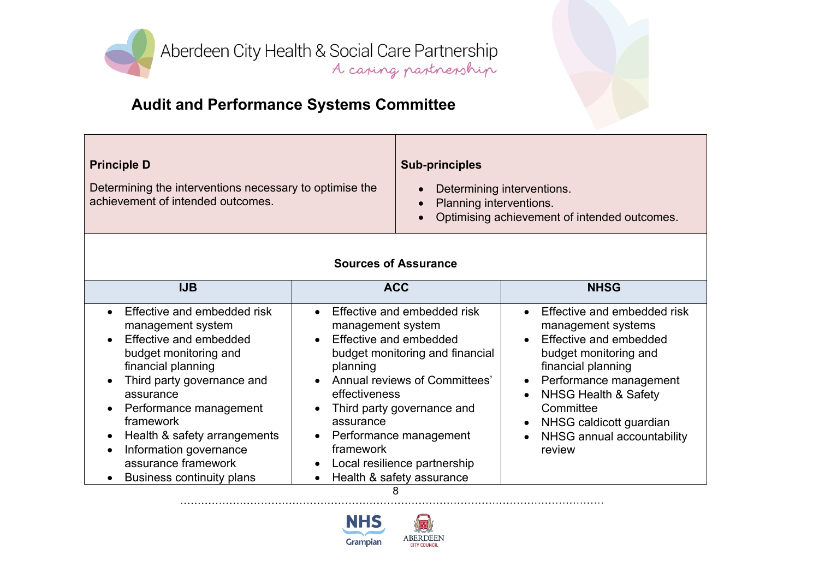

| <b>Principle D</b>                                                                           | <b>Sub-principles</b>                                                                                                     |
|----------------------------------------------------------------------------------------------|---------------------------------------------------------------------------------------------------------------------------|
| Determining the interventions necessary to optimise the<br>achievement of intended outcomes. | Determining interventions.<br><b>Planning interventions.</b><br>$\bullet$<br>Optimising achievement of intended outcomes. |

#### **Sources of Assurance**

| <b>IJB</b>                                                                                                                                                                                                                                                                                                                                                     | <b>ACC</b>                                                                                                                                                                                                                                                                                                                                                          | <b>NHSG</b>                                                                                                                                                                                                                                                                                                                     |
|----------------------------------------------------------------------------------------------------------------------------------------------------------------------------------------------------------------------------------------------------------------------------------------------------------------------------------------------------------------|---------------------------------------------------------------------------------------------------------------------------------------------------------------------------------------------------------------------------------------------------------------------------------------------------------------------------------------------------------------------|---------------------------------------------------------------------------------------------------------------------------------------------------------------------------------------------------------------------------------------------------------------------------------------------------------------------------------|
| Effective and embedded risk<br>management system<br>• Effective and embedded<br>budget monitoring and<br>financial planning<br>Third party governance and<br>$\bullet$<br>assurance<br>• Performance management<br>framework<br>Health & safety arrangements<br>Information governance<br>assurance framework<br><b>Business continuity plans</b><br>$\bullet$ | Effective and embedded risk<br>management system<br>Effective and embedded<br>$\bullet$<br>budget monitoring and financial<br>planning<br>• Annual reviews of Committees'<br>effectiveness<br>Third party governance and<br>assurance<br>Performance management<br>$\bullet$<br>framework<br>Local resilience partnership<br>$\bullet$<br>Health & safety assurance | • Effective and embedded risk<br>management systems<br>Effective and embedded<br>$\bullet$<br>budget monitoring and<br>financial planning<br>• Performance management<br><b>NHSG Health &amp; Safety</b><br>$\bullet$<br>Committee<br>NHSG caldicott guardian<br>$\bullet$<br>NHSG annual accountability<br>$\bullet$<br>review |
|                                                                                                                                                                                                                                                                                                                                                                |                                                                                                                                                                                                                                                                                                                                                                     |                                                                                                                                                                                                                                                                                                                                 |

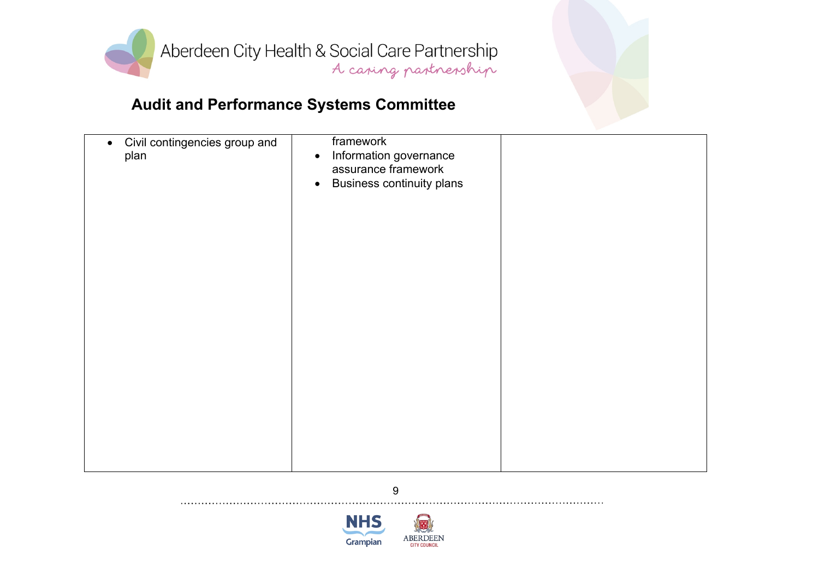

| Civil contingencies group and<br>$\bullet$<br>plan | framework<br>Information governance<br>$\bullet$<br>assurance framework<br><b>Business continuity plans</b><br>$\bullet$ |  |
|----------------------------------------------------|--------------------------------------------------------------------------------------------------------------------------|--|
|                                                    |                                                                                                                          |  |

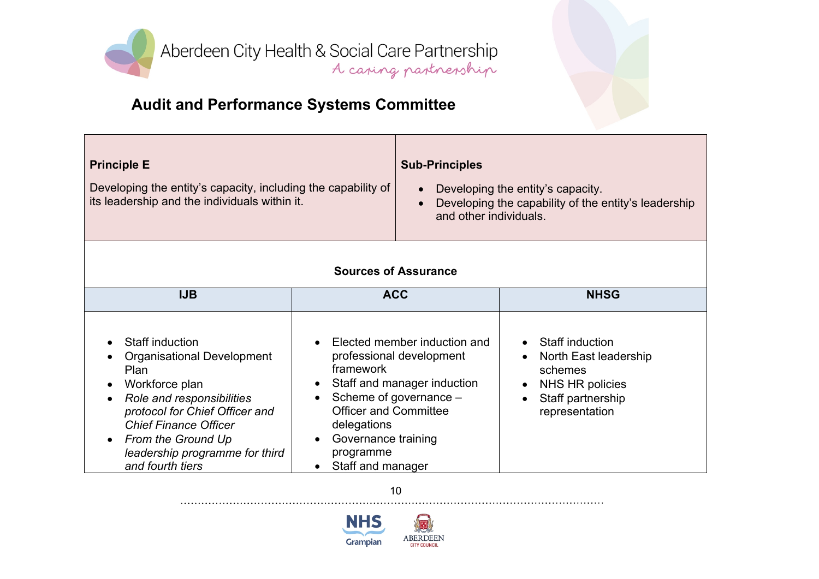

# **Audit and Performance Systems Committee**

| <b>Principle E</b><br>Developing the entity's capacity, including the capability of<br>its leadership and the individuals within it. |  | <b>Sub-Principles</b><br>Developing the entity's capacity.<br>$\bullet$<br>Developing the capability of the entity's leadership<br>$\bullet$<br>and other individuals. |                                                                    |
|--------------------------------------------------------------------------------------------------------------------------------------|--|------------------------------------------------------------------------------------------------------------------------------------------------------------------------|--------------------------------------------------------------------|
|                                                                                                                                      |  | <b>Sources of Assurance</b>                                                                                                                                            |                                                                    |
| <b>IJB</b>                                                                                                                           |  | <b>ACC</b>                                                                                                                                                             | <b>NHSG</b>                                                        |
| Staff induction<br>$\bullet$<br>• Organisational Development                                                                         |  | Elected member induction and<br>professional development                                                                                                               | Staff induction<br>$\bullet$<br>North East leadership<br>$\bullet$ |

| Staff induction<br>$\bullet$<br><b>Organisational Development</b><br>$\bullet$<br>Plan<br>Workforce plan<br>$\bullet$<br>• Role and responsibilities<br>protocol for Chief Officer and<br><b>Chief Finance Officer</b><br>• From the Ground Up<br>leadership programme for third<br>and fourth tiers | Elected member induction and<br>$\bullet$<br>professional development<br>framework<br>• Staff and manager induction<br>• Scheme of governance $-$<br><b>Officer and Committee</b><br>delegations<br>Governance training<br>$\bullet$<br>programme<br>Staff and manager | Staff induction<br>$\bullet$<br>North East leadership<br>$\bullet$<br>schemes<br>NHS HR policies<br>Staff partnership<br>representation |
|------------------------------------------------------------------------------------------------------------------------------------------------------------------------------------------------------------------------------------------------------------------------------------------------------|------------------------------------------------------------------------------------------------------------------------------------------------------------------------------------------------------------------------------------------------------------------------|-----------------------------------------------------------------------------------------------------------------------------------------|
|------------------------------------------------------------------------------------------------------------------------------------------------------------------------------------------------------------------------------------------------------------------------------------------------------|------------------------------------------------------------------------------------------------------------------------------------------------------------------------------------------------------------------------------------------------------------------------|-----------------------------------------------------------------------------------------------------------------------------------------|

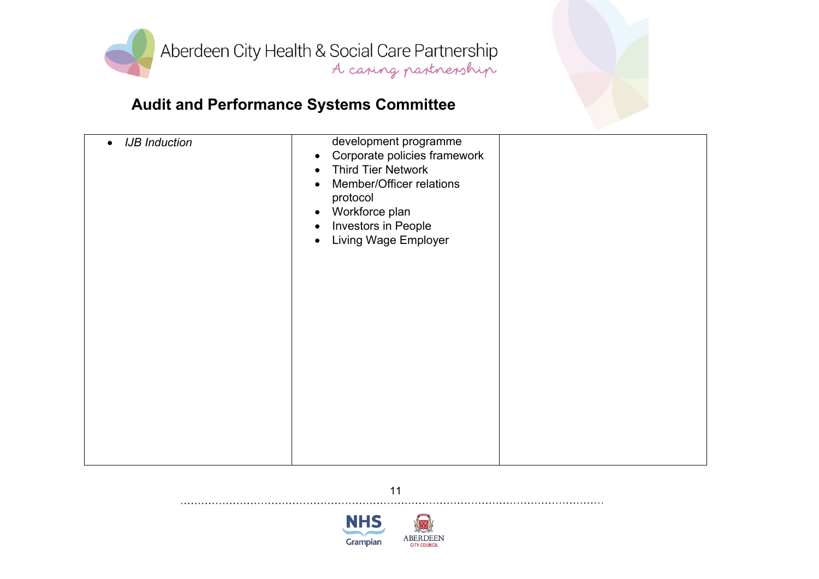

| <b>IJB</b> Induction | development programme<br>Corporate policies framework<br>$\bullet$<br><b>Third Tier Network</b><br>$\bullet$<br>Member/Officer relations<br>$\bullet$<br>protocol<br>Workforce plan<br>$\bullet$<br>Investors in People<br>$\bullet$<br>Living Wage Employer<br>$\bullet$ |  |
|----------------------|---------------------------------------------------------------------------------------------------------------------------------------------------------------------------------------------------------------------------------------------------------------------------|--|
|----------------------|---------------------------------------------------------------------------------------------------------------------------------------------------------------------------------------------------------------------------------------------------------------------------|--|



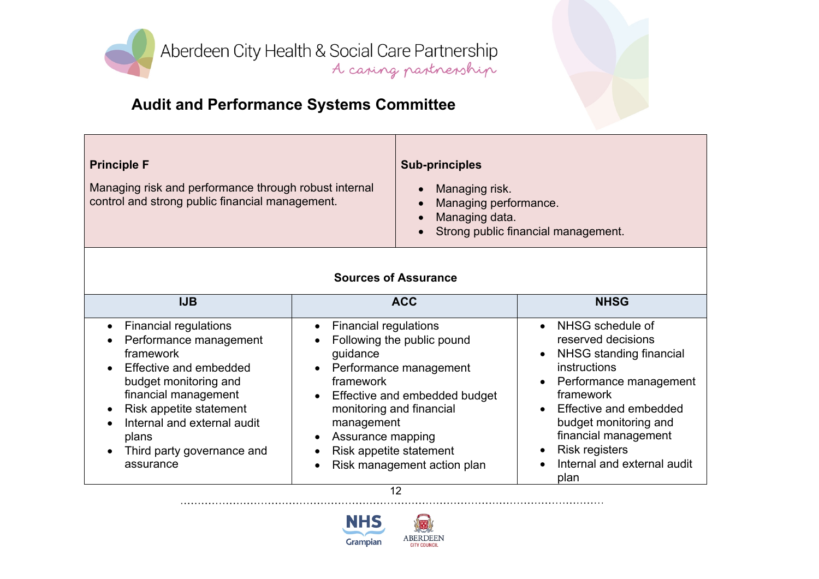

| <b>Principle F</b>                                                                                       | <b>Sub-principles</b>                                                                                                                                |
|----------------------------------------------------------------------------------------------------------|------------------------------------------------------------------------------------------------------------------------------------------------------|
| Managing risk and performance through robust internal<br>control and strong public financial management. | Managing risk.<br>$\bullet$<br>Managing performance.<br>$\bullet$<br>Managing data.<br>$\bullet$<br>Strong public financial management.<br>$\bullet$ |

#### **Sources of Assurance**

| <b>IJB</b>                                                                                                                                                                                                                                                  | <b>ACC</b>                                                                                                                                                                                                                                                                                                       | <b>NHSG</b>                                                                                                                                                                                                                                                         |
|-------------------------------------------------------------------------------------------------------------------------------------------------------------------------------------------------------------------------------------------------------------|------------------------------------------------------------------------------------------------------------------------------------------------------------------------------------------------------------------------------------------------------------------------------------------------------------------|---------------------------------------------------------------------------------------------------------------------------------------------------------------------------------------------------------------------------------------------------------------------|
| • Financial regulations<br>• Performance management<br>framework<br>• Effective and embedded<br>budget monitoring and<br>financial management<br>Risk appetite statement<br>Internal and external audit<br>plans<br>Third party governance and<br>assurance | <b>Financial regulations</b><br>$\bullet$<br>Following the public pound<br>guidance<br>• Performance management<br>framework<br>Effective and embedded budget<br>$\bullet$<br>monitoring and financial<br>management<br>Assurance mapping<br>$\bullet$<br>Risk appetite statement<br>Risk management action plan | NHSG schedule of<br>reserved decisions<br>NHSG standing financial<br>instructions<br>Performance management<br>framework<br>Effective and embedded<br>budget monitoring and<br>financial management<br><b>Risk registers</b><br>Internal and external audit<br>plan |
|                                                                                                                                                                                                                                                             | 12                                                                                                                                                                                                                                                                                                               |                                                                                                                                                                                                                                                                     |

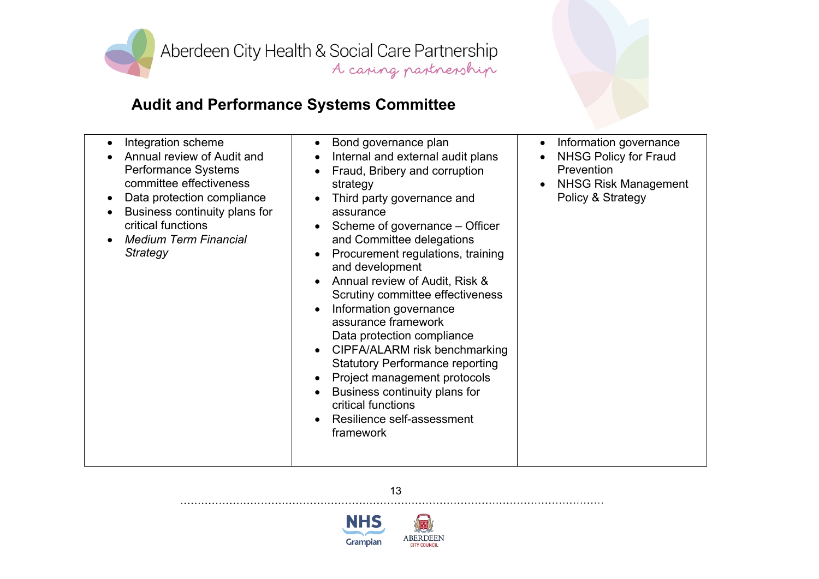

| Integration scheme<br>$\bullet$<br>Annual review of Audit and<br>Performance Systems<br>committee effectiveness<br>Data protection compliance<br>$\bullet$<br>Business continuity plans for<br>critical functions<br><b>Medium Term Financial</b><br>Strategy | Bond governance plan<br>$\bullet$<br>Internal and external audit plans<br>$\bullet$<br>Fraud, Bribery and corruption<br>$\bullet$<br>strategy<br>Third party governance and<br>assurance<br>Scheme of governance – Officer<br>and Committee delegations<br>Procurement regulations, training<br>$\bullet$<br>and development<br>Annual review of Audit, Risk &<br>Scrutiny committee effectiveness<br>Information governance<br>$\bullet$<br>assurance framework<br>Data protection compliance<br>CIPFA/ALARM risk benchmarking<br>$\bullet$<br><b>Statutory Performance reporting</b><br>Project management protocols<br>$\bullet$<br>Business continuity plans for<br>$\bullet$ | Information governance<br>$\bullet$<br><b>NHSG Policy for Fraud</b><br>Prevention<br><b>NHSG Risk Management</b><br>Policy & Strategy |
|---------------------------------------------------------------------------------------------------------------------------------------------------------------------------------------------------------------------------------------------------------------|-----------------------------------------------------------------------------------------------------------------------------------------------------------------------------------------------------------------------------------------------------------------------------------------------------------------------------------------------------------------------------------------------------------------------------------------------------------------------------------------------------------------------------------------------------------------------------------------------------------------------------------------------------------------------------------|---------------------------------------------------------------------------------------------------------------------------------------|
|---------------------------------------------------------------------------------------------------------------------------------------------------------------------------------------------------------------------------------------------------------------|-----------------------------------------------------------------------------------------------------------------------------------------------------------------------------------------------------------------------------------------------------------------------------------------------------------------------------------------------------------------------------------------------------------------------------------------------------------------------------------------------------------------------------------------------------------------------------------------------------------------------------------------------------------------------------------|---------------------------------------------------------------------------------------------------------------------------------------|

13

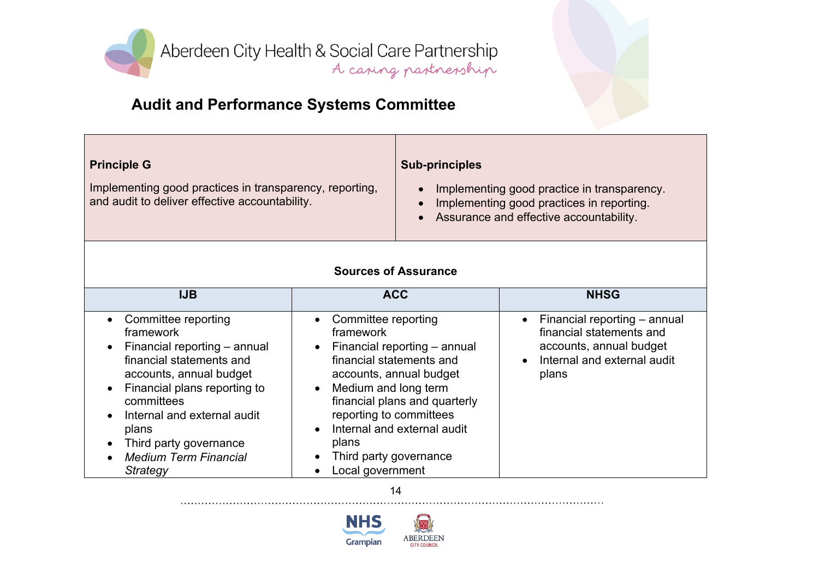

# **Audit and Performance Systems Committee**

| <b>Principle G</b>                                                                                        | <b>Sub-principles</b>                                                                                                                            |
|-----------------------------------------------------------------------------------------------------------|--------------------------------------------------------------------------------------------------------------------------------------------------|
| Implementing good practices in transparency, reporting,<br>and audit to deliver effective accountability. | Implementing good practice in transparency.<br>Implementing good practices in reporting.<br>$\bullet$<br>Assurance and effective accountability. |

#### **Sources of Assurance**

| <b>IJB</b>                                                                                                                                                                                                                                                                                                                              | <b>ACC</b>                                                                                                                                                                                                                                                                                                                                  | <b>NHSG</b>                                                                                                                 |
|-----------------------------------------------------------------------------------------------------------------------------------------------------------------------------------------------------------------------------------------------------------------------------------------------------------------------------------------|---------------------------------------------------------------------------------------------------------------------------------------------------------------------------------------------------------------------------------------------------------------------------------------------------------------------------------------------|-----------------------------------------------------------------------------------------------------------------------------|
| Committee reporting<br>$\bullet$<br>framework<br>Financial reporting - annual<br>$\bullet$<br>financial statements and<br>accounts, annual budget<br>Financial plans reporting to<br>$\bullet$<br>committees<br>Internal and external audit<br>$\bullet$<br>plans<br>Third party governance<br><b>Medium Term Financial</b><br>Strategy | • Committee reporting<br>framework<br>$\bullet$ Financial reporting $-$ annual<br>financial statements and<br>accounts, annual budget<br>• Medium and long term<br>financial plans and quarterly<br>reporting to committees<br>Internal and external audit<br>$\bullet$<br>plans<br>Third party governance<br>$\bullet$<br>Local government | Financial reporting – annual<br>financial statements and<br>accounts, annual budget<br>Internal and external audit<br>plans |